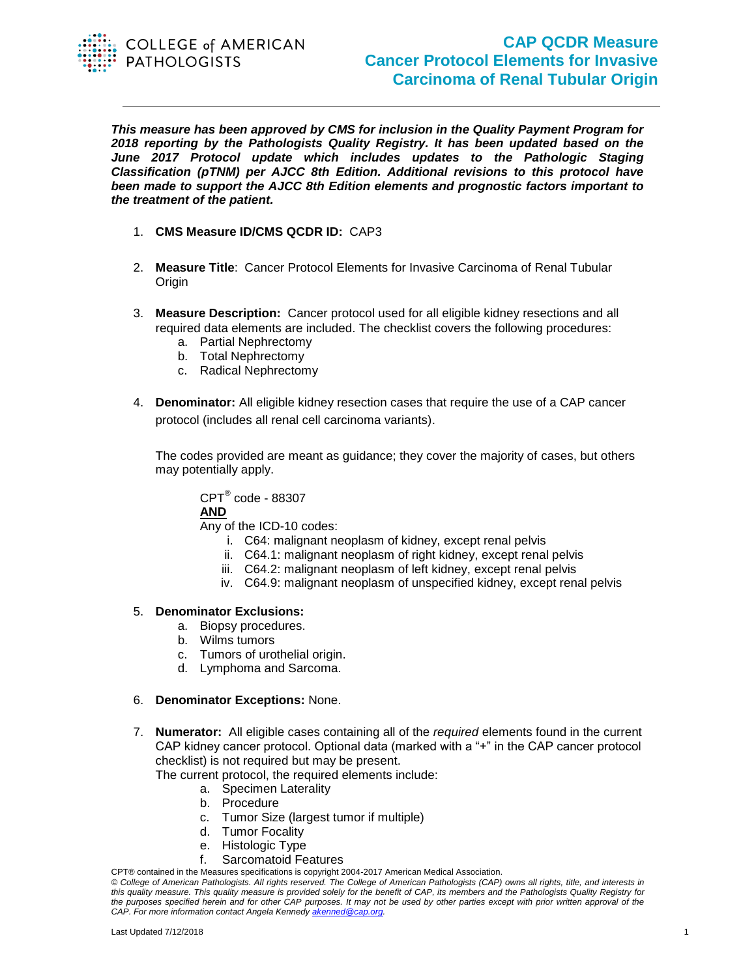

## **CAP QCDR Measure Cancer Protocol Elements for Invasive Carcinoma of Renal Tubular Origin**

*This measure has been approved by CMS for inclusion in the Quality Payment Program for 2018 reporting by the Pathologists Quality Registry. It has been updated based on the June 2017 Protocol update which includes updates to the Pathologic Staging Classification (pTNM) per AJCC 8th Edition. Additional revisions to this protocol have been made to support the AJCC 8th Edition elements and prognostic factors important to the treatment of the patient.*

- 1. **CMS Measure ID/CMS QCDR ID:** CAP3
- 2. **Measure Title**: Cancer Protocol Elements for Invasive Carcinoma of Renal Tubular **Origin**
- 3. **Measure Description:** Cancer protocol used for all eligible kidney resections and all required data elements are included. The checklist covers the following procedures:
	- a. Partial Nephrectomy
	- b. Total Nephrectomy
	- c. Radical Nephrectomy
- 4. **Denominator:** All eligible kidney resection cases that require the use of a CAP cancer protocol (includes all renal cell carcinoma variants).

The codes provided are meant as guidance; they cover the majority of cases, but others may potentially apply.

 $\mathsf{CPT}^\circledast$  code - 88307 **AND** Any of the ICD-10 codes:

- i. C64: malignant neoplasm of kidney, except renal pelvis
- ii. C64.1: malignant neoplasm of right kidney, except renal pelvis
- iii. C64.2: malignant neoplasm of left kidney, except renal pelvis
- iv. C64.9: malignant neoplasm of unspecified kidney, except renal pelvis

## 5. **Denominator Exclusions:**

- a. Biopsy procedures.
- b. Wilms tumors
- c. Tumors of urothelial origin.
- d. Lymphoma and Sarcoma.

## 6. **Denominator Exceptions:** None.

7. **Numerator:** All eligible cases containing all of the *required* elements found in the current CAP kidney cancer protocol. Optional data (marked with a "+" in the CAP cancer protocol checklist) is not required but may be present.

The current protocol, the required elements include:

- a. Specimen Laterality
- b. Procedure
- c. Tumor Size (largest tumor if multiple)
- d. Tumor Focality
- e. Histologic Type
- f. Sarcomatoid Features

CPT® contained in the Measures specifications is copyright 2004-2017 American Medical Association.

*© College of American Pathologists. All rights reserved. The College of American Pathologists (CAP) owns all rights, title, and interests in this quality measure. This quality measure is provided solely for the benefit of CAP, its members and the Pathologists Quality Registry for the purposes specified herein and for other CAP purposes. It may not be used by other parties except with prior written approval of the CAP. For more information contact Angela Kennedy [akenned@cap.org.](mailto:akenned@cap.org)*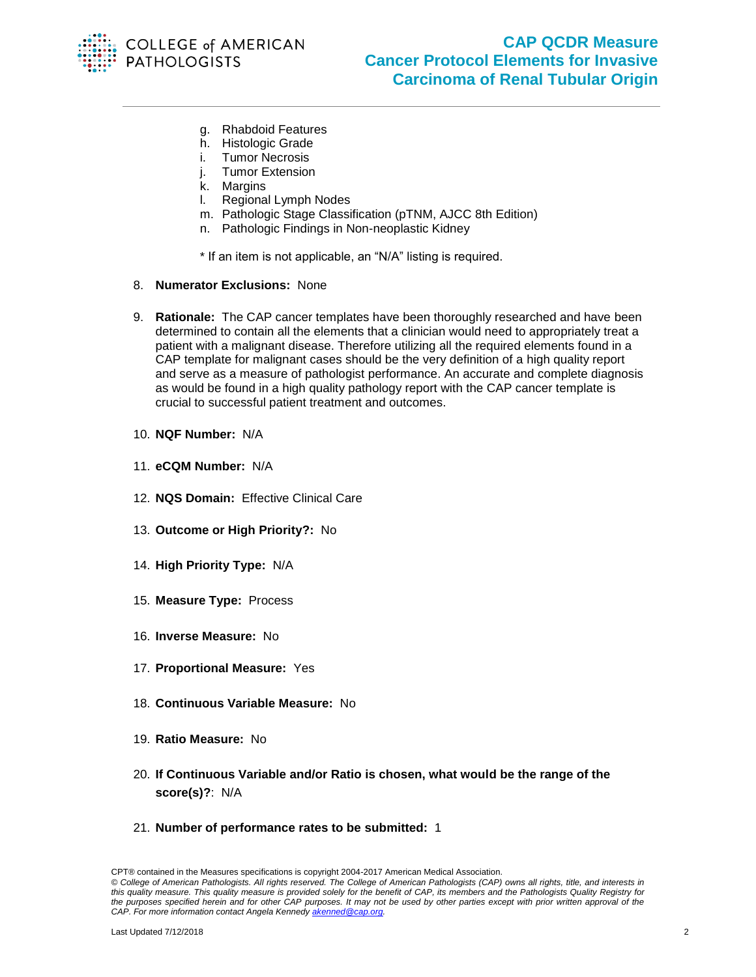

- g. Rhabdoid Features
- h. Histologic Grade
- i. Tumor Necrosis
- j. Tumor Extension
- k. Margins
- l. Regional Lymph Nodes
- m. Pathologic Stage Classification (pTNM, AJCC 8th Edition)
- n. Pathologic Findings in Non-neoplastic Kidney

\* If an item is not applicable, an "N/A" listing is required.

- 8. **Numerator Exclusions:** None
- 9. **Rationale:** The CAP cancer templates have been thoroughly researched and have been determined to contain all the elements that a clinician would need to appropriately treat a patient with a malignant disease. Therefore utilizing all the required elements found in a CAP template for malignant cases should be the very definition of a high quality report and serve as a measure of pathologist performance. An accurate and complete diagnosis as would be found in a high quality pathology report with the CAP cancer template is crucial to successful patient treatment and outcomes.
- 10. **NQF Number:** N/A
- 11. **eCQM Number:** N/A
- 12. **NQS Domain:** Effective Clinical Care
- 13. **Outcome or High Priority?:** No
- 14. **High Priority Type:** N/A
- 15. **Measure Type:** Process
- 16. **Inverse Measure:** No
- 17. **Proportional Measure:** Yes
- 18. **Continuous Variable Measure:** No
- 19. **Ratio Measure:** No
- 20. **If Continuous Variable and/or Ratio is chosen, what would be the range of the score(s)?**: N/A
- 21. **Number of performance rates to be submitted:** 1

CPT® contained in the Measures specifications is copyright 2004-2017 American Medical Association.

*<sup>©</sup> College of American Pathologists. All rights reserved. The College of American Pathologists (CAP) owns all rights, title, and interests in this quality measure. This quality measure is provided solely for the benefit of CAP, its members and the Pathologists Quality Registry for the purposes specified herein and for other CAP purposes. It may not be used by other parties except with prior written approval of the CAP. For more information contact Angela Kennedy [akenned@cap.org.](mailto:akenned@cap.org)*